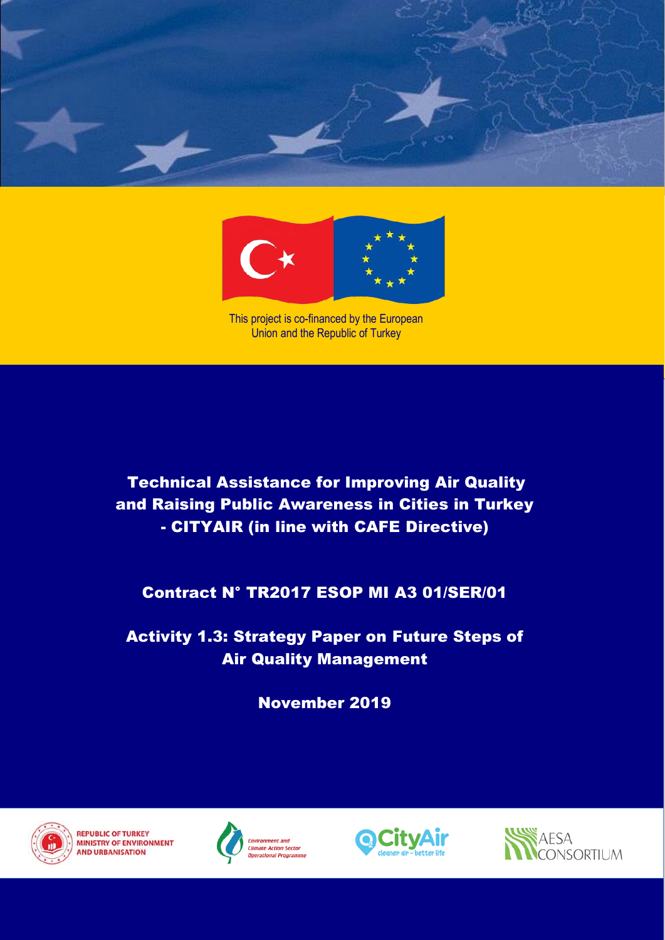



This project is co-financed by the European Union and the Republic of Turkey

**Technical Assistance for Improving Air Quality** and Raising Public Awareness in Cities in Turkey CITYAIR (in line with CAFE Directive) - CITYAIR (in line with CAFE Directive)

Contract N° Tract N° Trees mi A3 01/SER/01 Contract N° TR2017 ESOP MI A3 01/SER/01

**1st Interior Interior Progress Report** Activity 1.3: Strategy Paper on Future Steps of Air Quality Management

November 2019



**REPUBLIC OF TURKEY MINISTRY OF ENVIRONMENT AND URBANISATION** 





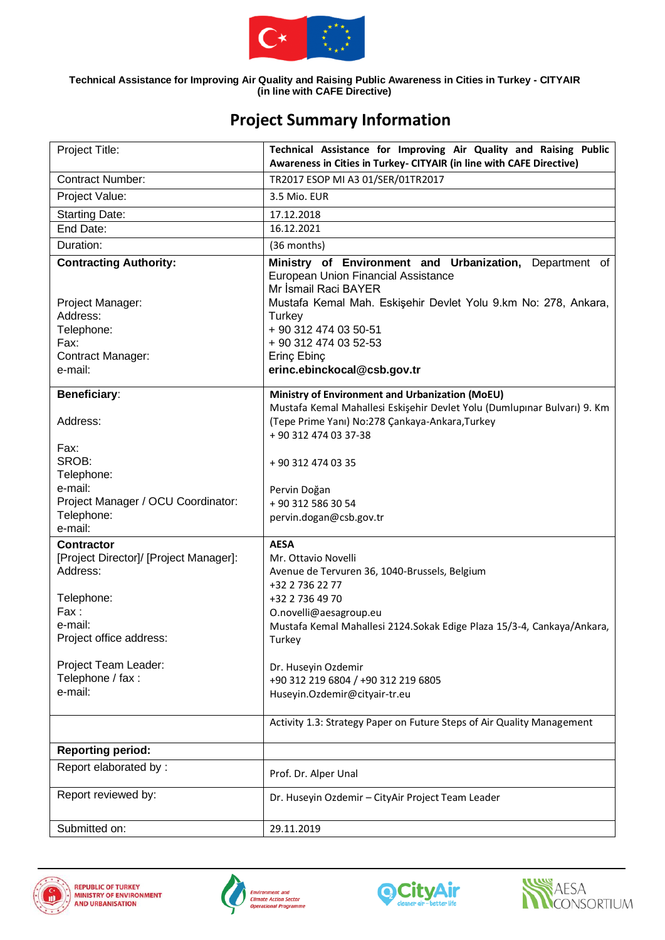

| Project Title:                                     | Technical Assistance for Improving Air Quality and Raising Public<br>Awareness in Cities in Turkey- CITYAIR (in line with CAFE Directive)                                                |
|----------------------------------------------------|------------------------------------------------------------------------------------------------------------------------------------------------------------------------------------------|
| <b>Contract Number:</b>                            | TR2017 ESOP MI A3 01/SER/01TR2017                                                                                                                                                        |
| Project Value:                                     | 3.5 Mio. EUR                                                                                                                                                                             |
| <b>Starting Date:</b>                              | 17.12.2018                                                                                                                                                                               |
| End Date:                                          | 16.12.2021                                                                                                                                                                               |
| Duration:                                          | (36 months)                                                                                                                                                                              |
| <b>Contracting Authority:</b><br>Project Manager:  | Ministry of Environment and Urbanization, Department of<br>European Union Financial Assistance<br>Mr İsmail Raci BAYER<br>Mustafa Kemal Mah. Eskişehir Devlet Yolu 9.km No: 278, Ankara, |
| Address:                                           | Turkey                                                                                                                                                                                   |
| Telephone:                                         | + 90 312 474 03 50-51                                                                                                                                                                    |
| Fax:                                               | + 90 312 474 03 52-53                                                                                                                                                                    |
| Contract Manager:                                  | Erinç Ebinç                                                                                                                                                                              |
| e-mail:                                            | erinc.ebinckocal@csb.gov.tr                                                                                                                                                              |
| <b>Beneficiary:</b>                                | Ministry of Environment and Urbanization (MoEU)                                                                                                                                          |
|                                                    | Mustafa Kemal Mahallesi Eskişehir Devlet Yolu (Dumlupınar Bulvarı) 9. Km                                                                                                                 |
| Address:                                           | (Tepe Prime Yanı) No:278 Çankaya-Ankara, Turkey                                                                                                                                          |
|                                                    | + 90 312 474 03 37-38                                                                                                                                                                    |
| Fax:<br>SROB:<br>Telephone:                        | +90 312 474 03 35                                                                                                                                                                        |
| e-mail:                                            | Pervin Doğan                                                                                                                                                                             |
| Project Manager / OCU Coordinator:                 | + 90 312 586 30 54                                                                                                                                                                       |
| Telephone:                                         | pervin.dogan@csb.gov.tr                                                                                                                                                                  |
| e-mail:                                            |                                                                                                                                                                                          |
| <b>Contractor</b>                                  | <b>AESA</b>                                                                                                                                                                              |
| [Project Director]/ [Project Manager]:<br>Address: | Mr. Ottavio Novelli<br>Avenue de Tervuren 36, 1040-Brussels, Belgium                                                                                                                     |
|                                                    | +32 2 736 22 77                                                                                                                                                                          |
| Telephone:                                         | +32 2 736 49 70                                                                                                                                                                          |
| Fax:                                               | O.novelli@aesagroup.eu                                                                                                                                                                   |
| e-mail:                                            | Mustafa Kemal Mahallesi 2124. Sokak Edige Plaza 15/3-4, Cankaya/Ankara,                                                                                                                  |
| Project office address:                            | Turkey                                                                                                                                                                                   |
| Project Team Leader:                               | Dr. Huseyin Ozdemir                                                                                                                                                                      |
| Telephone / fax :                                  | +90 312 219 6804 / +90 312 219 6805                                                                                                                                                      |
| e-mail:                                            | Huseyin.Ozdemir@cityair-tr.eu                                                                                                                                                            |
|                                                    | Activity 1.3: Strategy Paper on Future Steps of Air Quality Management                                                                                                                   |
| <b>Reporting period:</b>                           |                                                                                                                                                                                          |
| Report elaborated by:                              |                                                                                                                                                                                          |
|                                                    | Prof. Dr. Alper Unal                                                                                                                                                                     |
| Report reviewed by:                                | Dr. Huseyin Ozdemir - CityAir Project Team Leader                                                                                                                                        |
| Submitted on:                                      | 29.11.2019                                                                                                                                                                               |

# **Project Summary Information**







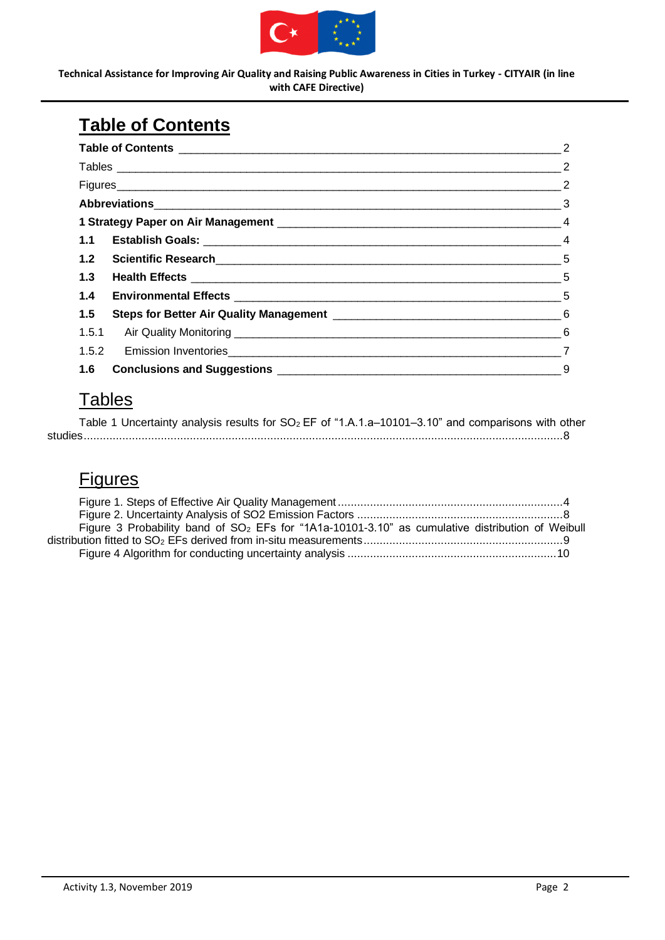

# <span id="page-2-0"></span>**Table of Contents**

|     | $\overline{2}$             |
|-----|----------------------------|
|     | $\overline{\phantom{a}}$ 2 |
|     | $\frac{1}{2}$              |
|     |                            |
|     |                            |
|     |                            |
|     |                            |
| 1.3 |                            |
|     |                            |
| 1.5 |                            |
|     |                            |
|     |                            |
|     |                            |

# <span id="page-2-1"></span>**Tables**

|  |  |  |  |  | Table 1 Uncertainty analysis results for SO <sub>2</sub> EF of "1.A.1.a-10101-3.10" and comparisons with other |  |
|--|--|--|--|--|----------------------------------------------------------------------------------------------------------------|--|
|  |  |  |  |  |                                                                                                                |  |

## <span id="page-2-2"></span>**Figures**

| Figure 3 Probability band of SO <sub>2</sub> EFs for "1A1a-10101-3.10" as cumulative distribution of Weibull |  |
|--------------------------------------------------------------------------------------------------------------|--|
|                                                                                                              |  |
|                                                                                                              |  |
|                                                                                                              |  |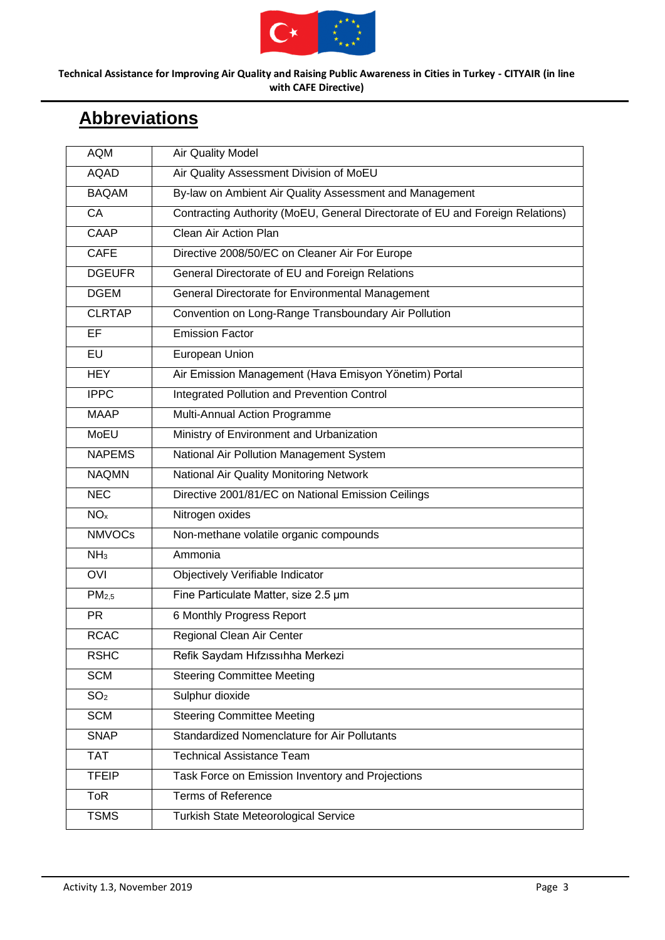

# <span id="page-3-0"></span>**Abbreviations**

| <b>AQM</b>        | <b>Air Quality Model</b>                                                      |
|-------------------|-------------------------------------------------------------------------------|
| <b>AQAD</b>       | Air Quality Assessment Division of MoEU                                       |
| <b>BAQAM</b>      | By-law on Ambient Air Quality Assessment and Management                       |
| <b>CA</b>         | Contracting Authority (MoEU, General Directorate of EU and Foreign Relations) |
| CAAP              | Clean Air Action Plan                                                         |
| <b>CAFE</b>       | Directive 2008/50/EC on Cleaner Air For Europe                                |
| <b>DGEUFR</b>     | General Directorate of EU and Foreign Relations                               |
| <b>DGEM</b>       | General Directorate for Environmental Management                              |
| <b>CLRTAP</b>     | Convention on Long-Range Transboundary Air Pollution                          |
| <b>EF</b>         | <b>Emission Factor</b>                                                        |
| EU                | European Union                                                                |
| <b>HEY</b>        | Air Emission Management (Hava Emisyon Yönetim) Portal                         |
| <b>IPPC</b>       | Integrated Pollution and Prevention Control                                   |
| <b>MAAP</b>       | Multi-Annual Action Programme                                                 |
| <b>MoEU</b>       | Ministry of Environment and Urbanization                                      |
| <b>NAPEMS</b>     | National Air Pollution Management System                                      |
| <b>NAQMN</b>      | National Air Quality Monitoring Network                                       |
| <b>NEC</b>        | Directive 2001/81/EC on National Emission Ceilings                            |
| NO <sub>x</sub>   | Nitrogen oxides                                                               |
| <b>NMVOCs</b>     | Non-methane volatile organic compounds                                        |
| NH <sub>3</sub>   | Ammonia                                                                       |
| OVI               | Objectively Verifiable Indicator                                              |
| PM <sub>2,5</sub> | Fine Particulate Matter, size 2.5 um                                          |
| <b>PR</b>         | 6 Monthly Progress Report                                                     |
| <b>RCAC</b>       | Regional Clean Air Center                                                     |
| <b>RSHC</b>       | Refik Saydam Hıfzıssıhha Merkezi                                              |
| <b>SCM</b>        | <b>Steering Committee Meeting</b>                                             |
| SO <sub>2</sub>   | Sulphur dioxide                                                               |
| <b>SCM</b>        | <b>Steering Committee Meeting</b>                                             |
| <b>SNAP</b>       | Standardized Nomenclature for Air Pollutants                                  |
| <b>TAT</b>        | <b>Technical Assistance Team</b>                                              |
| <b>TFEIP</b>      | Task Force on Emission Inventory and Projections                              |
| <b>ToR</b>        | <b>Terms of Reference</b>                                                     |
| <b>TSMS</b>       | Turkish State Meteorological Service                                          |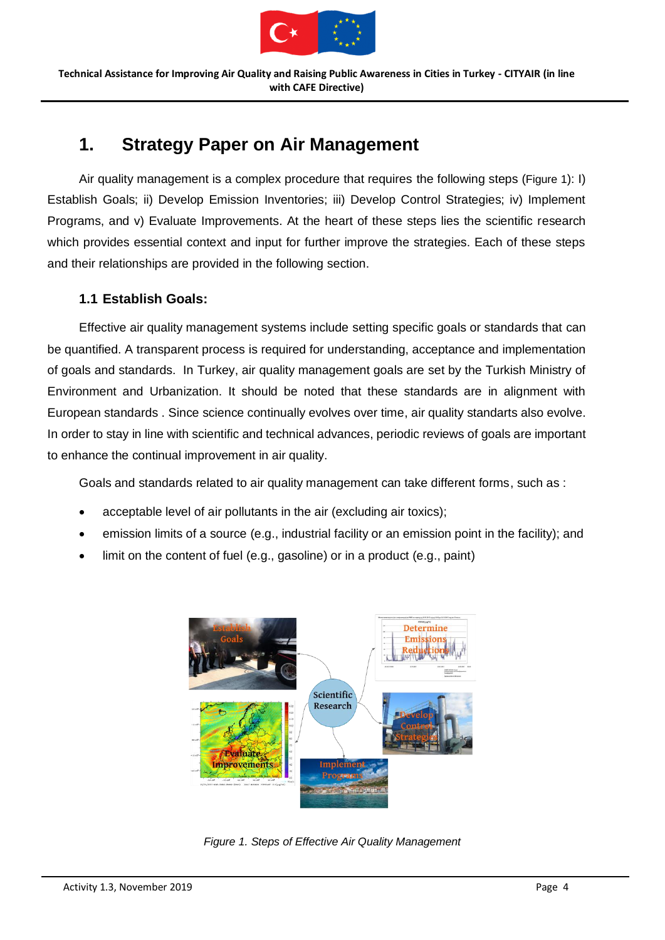

## <span id="page-4-0"></span>**1. Strategy Paper on Air Management**

Air quality management is a complex procedure that requires the following steps ([Figure 1](#page-4-2)): I) Establish Goals; ii) Develop Emission Inventories; iii) Develop Control Strategies; iv) Implement Programs, and v) Evaluate Improvements. At the heart of these steps lies the scientific research which provides essential context and input for further improve the strategies. Each of these steps and their relationships are provided in the following section.

## <span id="page-4-1"></span>**1.1 Establish Goals:**

Effective air quality management systems include setting specific goals or standards that can be quantified. A transparent process is required for understanding, acceptance and implementation of goals and standards. In Turkey, air quality management goals are set by the Turkish Ministry of Environment and Urbanization. It should be noted that these standards are in alignment with European standards . Since science continually evolves over time, air quality standarts also evolve. In order to stay in line with scientific and technical advances, periodic reviews of goals are important to enhance the continual improvement in air quality.

Goals and standards related to air quality management can take different forms, such as :

- acceptable level of air pollutants in the air (excluding air toxics):
- emission limits of a source (e.g., industrial facility or an emission point in the facility); and
- limit on the content of fuel (e.g., gasoline) or in a product (e.g., paint)



<span id="page-4-2"></span>*Figure 1. Steps of Effective Air Quality Management*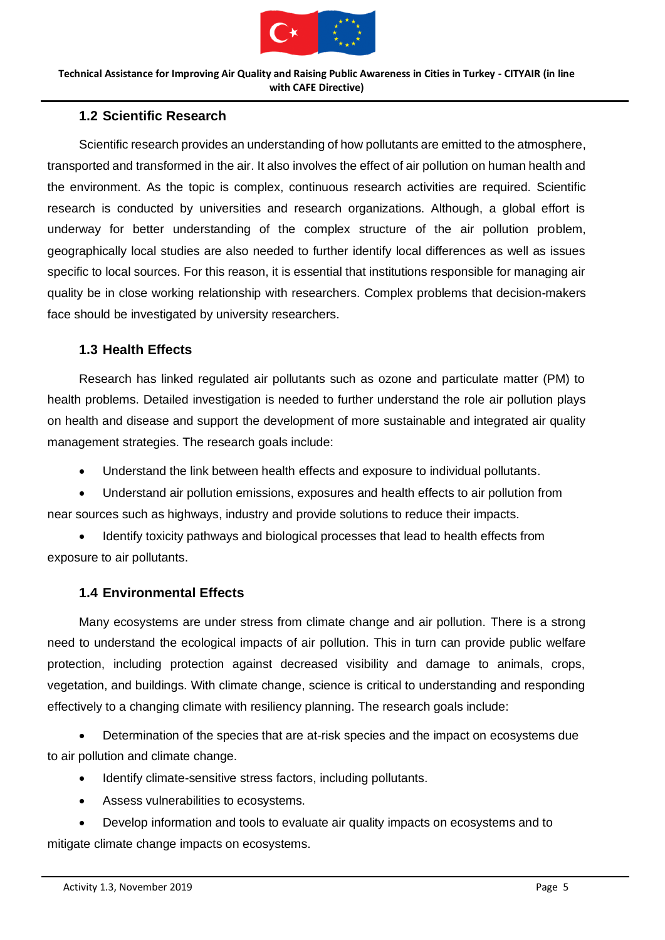

## <span id="page-5-0"></span>**1.2 Scientific Research**

Scientific research provides an understanding of how pollutants are emitted to the atmosphere, transported and transformed in the air. It also involves the effect of air pollution on human health and the environment. As the topic is complex, continuous research activities are required. Scientific research is conducted by universities and research organizations. Although, a global effort is underway for better understanding of the complex structure of the air pollution problem, geographically local studies are also needed to further identify local differences as well as issues specific to local sources. For this reason, it is essential that institutions responsible for managing air quality be in close working relationship with researchers. Complex problems that decision-makers face should be investigated by university researchers.

#### <span id="page-5-1"></span>**1.3 Health Effects**

Research has linked regulated air pollutants such as ozone and particulate matter (PM) to health problems. Detailed investigation is needed to further understand the role air pollution plays on health and disease and support the development of more sustainable and integrated air quality management strategies. The research goals include:

- Understand the link between health effects and exposure to individual pollutants.
- Understand air pollution emissions, exposures and health effects to air pollution from near sources such as highways, industry and provide solutions to reduce their impacts.

• Identify toxicity pathways and biological processes that lead to health effects from exposure to air pollutants.

## <span id="page-5-2"></span>**1.4 Environmental Effects**

Many ecosystems are under stress from climate change and air pollution. There is a strong need to understand the ecological impacts of air pollution. This in turn can provide public welfare protection, including protection against decreased visibility and damage to animals, crops, vegetation, and buildings. With climate change, science is critical to understanding and responding effectively to a changing climate with resiliency planning. The research goals include:

• Determination of the species that are at-risk species and the impact on ecosystems due to air pollution and climate change.

- Identify climate-sensitive stress factors, including pollutants.
- Assess vulnerabilities to ecosystems.

• Develop information and tools to evaluate air quality impacts on ecosystems and to mitigate climate change impacts on ecosystems.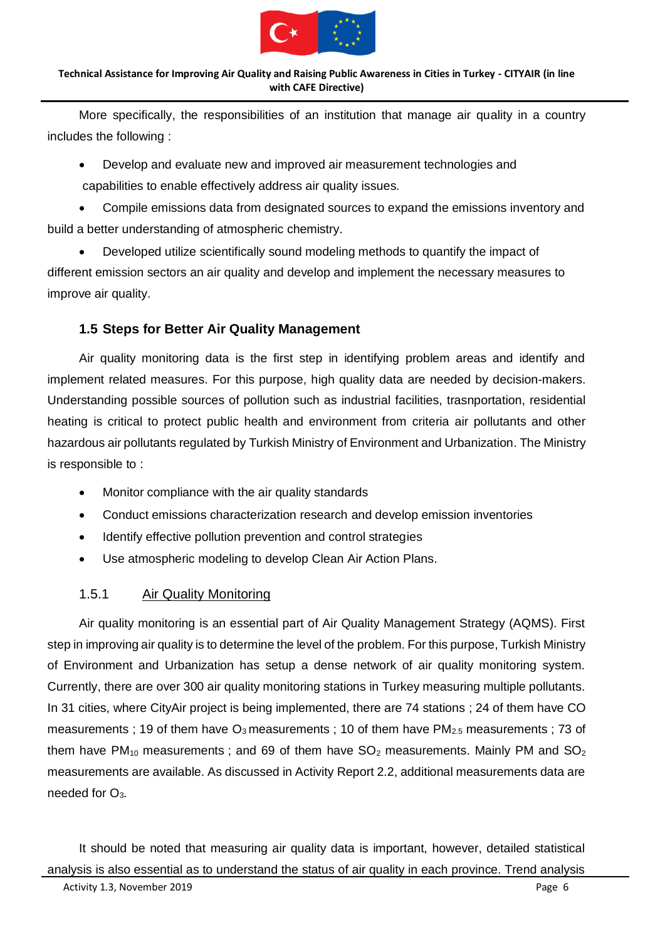

More specifically, the responsibilities of an institution that manage air quality in a country includes the following :

• Develop and evaluate new and improved air measurement technologies and capabilities to enable effectively address air quality issues.

• Compile emissions data from designated sources to expand the emissions inventory and build a better understanding of atmospheric chemistry.

• Developed utilize scientifically sound modeling methods to quantify the impact of different emission sectors an air quality and develop and implement the necessary measures to improve air quality.

## <span id="page-6-0"></span>**1.5 Steps for Better Air Quality Management**

Air quality monitoring data is the first step in identifying problem areas and identify and implement related measures. For this purpose, high quality data are needed by decision-makers. Understanding possible sources of pollution such as industrial facilities, trasnportation, residential heating is critical to protect public health and environment from criteria air pollutants and other hazardous air pollutants regulated by Turkish Ministry of Environment and Urbanization. The Ministry is responsible to :

- Monitor compliance with the air quality standards
- Conduct emissions characterization research and develop emission inventories
- Identify effective pollution prevention and control strategies
- Use atmospheric modeling to develop Clean Air Action Plans.

## <span id="page-6-1"></span>1.5.1 Air Quality Monitoring

Air quality monitoring is an essential part of Air Quality Management Strategy (AQMS). First step in improving air quality is to determine the level of the problem. For this purpose, Turkish Ministry of Environment and Urbanization has setup a dense network of air quality monitoring system. Currently, there are over 300 air quality monitoring stations in Turkey measuring multiple pollutants. In 31 cities, where CityAir project is being implemented, there are 74 stations ; 24 of them have CO measurements ; 19 of them have  $O_3$  measurements ; 10 of them have PM<sub>2.5</sub> measurements ; 73 of them have  $PM_{10}$  measurements; and 69 of them have  $SO_2$  measurements. Mainly PM and  $SO_2$ measurements are available. As discussed in Activity Report 2.2, additional measurements data are needed for  $O<sub>3</sub>$ .

It should be noted that measuring air quality data is important, however, detailed statistical analysis is also essential as to understand the status of air quality in each province. Trend analysis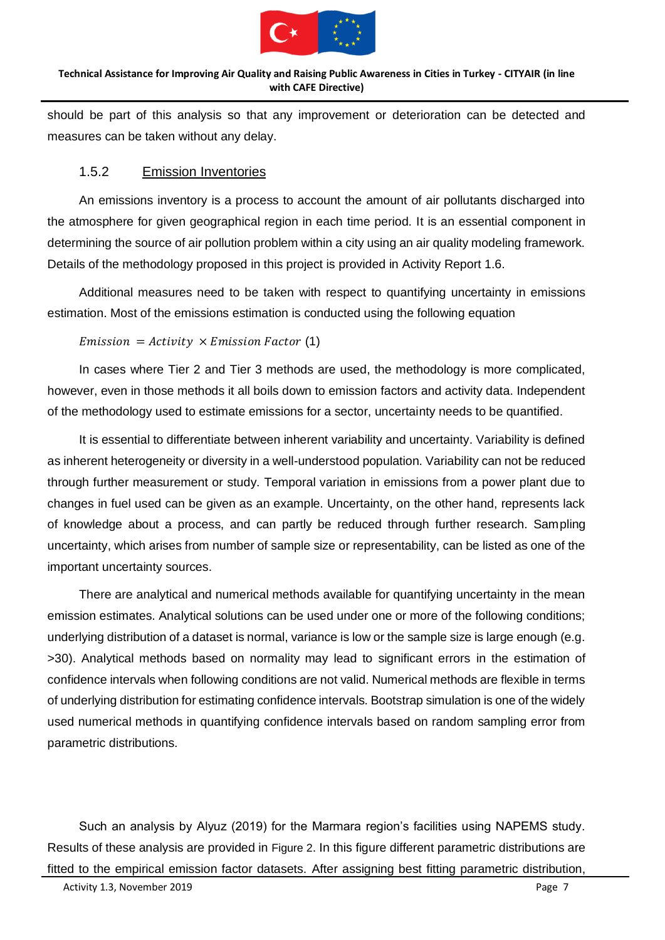

should be part of this analysis so that any improvement or deterioration can be detected and measures can be taken without any delay.

### <span id="page-7-0"></span>1.5.2 Emission Inventories

An emissions inventory is a process to account the amount of air pollutants discharged into the atmosphere for given geographical region in each time period. It is an essential component in determining the source of air pollution problem within a city using an air quality modeling framework. Details of the methodology proposed in this project is provided in Activity Report 1.6.

Additional measures need to be taken with respect to quantifying uncertainty in emissions estimation. Most of the emissions estimation is conducted using the following equation

 $Emission = Activity \times Emission Factor (1)$ 

In cases where Tier 2 and Tier 3 methods are used, the methodology is more complicated, however, even in those methods it all boils down to emission factors and activity data. Independent of the methodology used to estimate emissions for a sector, uncertainty needs to be quantified.

It is essential to differentiate between inherent variability and uncertainty. Variability is defined as inherent heterogeneity or diversity in a well-understood population. Variability can not be reduced through further measurement or study. Temporal variation in emissions from a power plant due to changes in fuel used can be given as an example. Uncertainty, on the other hand, represents lack of knowledge about a process, and can partly be reduced through further research. Sampling uncertainty, which arises from number of sample size or representability, can be listed as one of the important uncertainty sources.

There are analytical and numerical methods available for quantifying uncertainty in the mean emission estimates. Analytical solutions can be used under one or more of the following conditions; underlying distribution of a dataset is normal, variance is low or the sample size is large enough (e.g. >30). Analytical methods based on normality may lead to significant errors in the estimation of confidence intervals when following conditions are not valid. Numerical methods are flexible in terms of underlying distribution for estimating confidence intervals. Bootstrap simulation is one of the widely used numerical methods in quantifying confidence intervals based on random sampling error from parametric distributions.

Such an analysis by Alyuz (2019) for the Marmara region's facilities using NAPEMS study. Results of these analysis are provided in [Figure 2](#page-8-1). In this figure different parametric distributions are fitted to the empirical emission factor datasets. After assigning best fitting parametric distribution,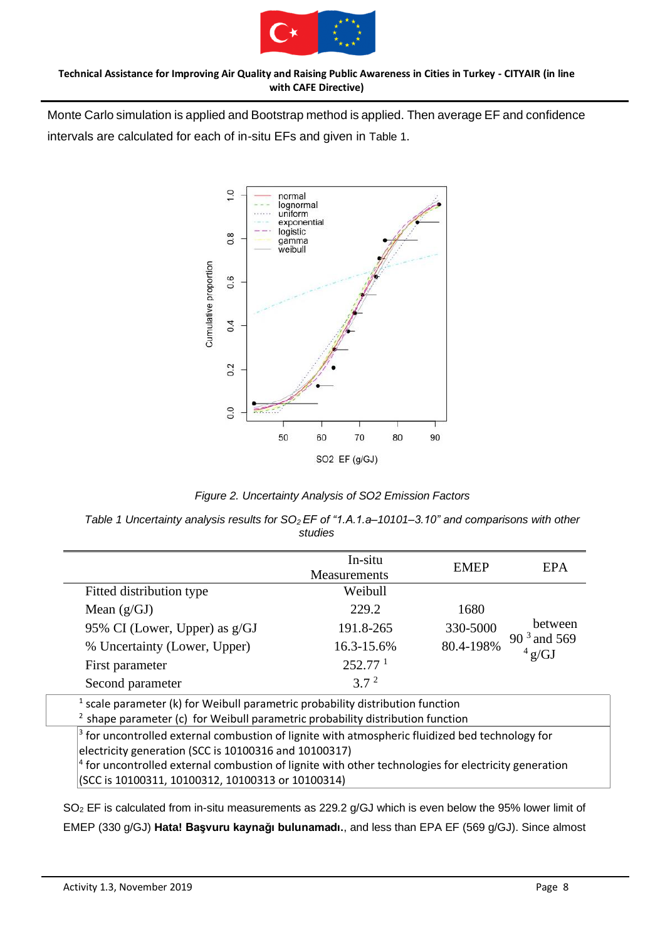

Monte Carlo simulation is applied and Bootstrap method is applied. Then average EF and confidence intervals are calculated for each of in-situ EFs and given in [Table 1](#page-8-0).



*Figure 2. Uncertainty Analysis of SO2 Emission Factors*

<span id="page-8-1"></span><span id="page-8-0"></span>*Table 1 Uncertainty analysis results for SO2 EF of "1.A.1.a–10101–3.10" and comparisons with other studies*

|                               | In-situ<br>Measurements | <b>EMEP</b> | <b>EPA</b>                         |
|-------------------------------|-------------------------|-------------|------------------------------------|
| Fitted distribution type      | Weibull                 |             |                                    |
| Mean $(g/GJ)$                 | 229.2                   | 1680        |                                    |
| 95% CI (Lower, Upper) as g/GJ | 191.8-265               | 330-5000    | between                            |
| % Uncertainty (Lower, Upper)  | 16.3-15.6%              | 80.4-198%   | $90^3$ and 569<br>$4 \text{ g/GJ}$ |
| First parameter               | 252.77 <sup>1</sup>     |             |                                    |
| Second parameter              | 3.7 <sup>2</sup>        |             |                                    |

 $<sup>1</sup>$  scale parameter (k) for Weibull parametric probability distribution function</sup>

 $2$  shape parameter (c) for Weibull parametric probability distribution function

<sup>3</sup> for uncontrolled external combustion of lignite with atmospheric fluidized bed technology for electricity generation (SCC is 10100316 and 10100317)

<sup>4</sup> for uncontrolled external combustion of lignite with other technologies for electricity generation (SCC is 10100311, 10100312, 10100313 or 10100314)

SO<sup>2</sup> EF is calculated from in-situ measurements as 229.2 g/GJ which is even below the 95% lower limit of EMEP (330 g/GJ) **Hata! Başvuru kaynağı bulunamadı.**, and less than EPA EF (569 g/GJ). Since almost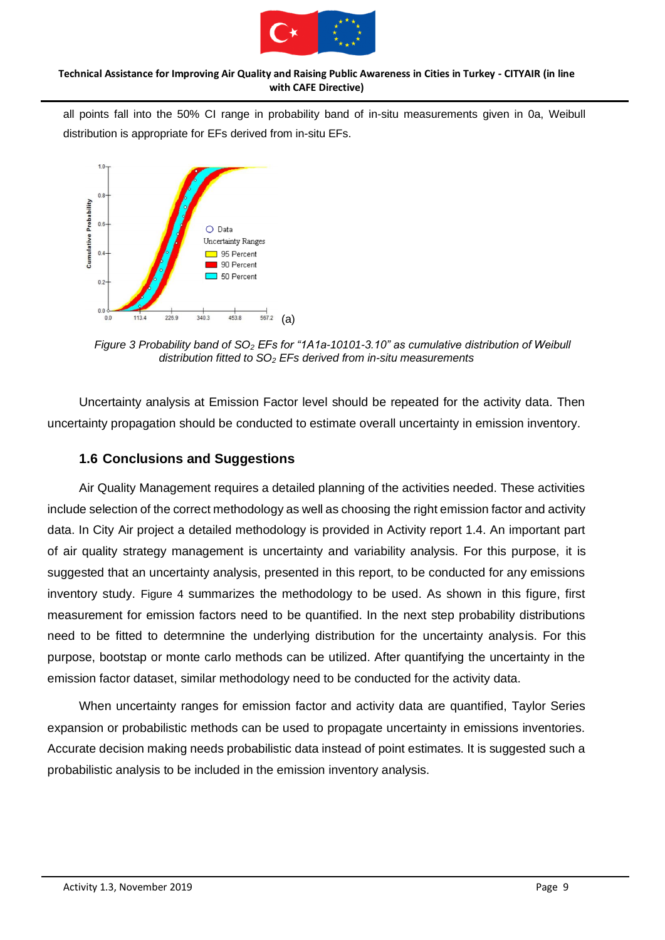

all points fall into the 50% CI range in probability band of in-situ measurements given in [0a](#page-9-1), Weibull distribution is appropriate for EFs derived from in-situ EFs.



<span id="page-9-1"></span>*Figure 3 Probability band of SO<sup>2</sup> EFs for "1A1a-10101-3.10" as cumulative distribution of Weibull distribution fitted to SO<sup>2</sup> EFs derived from in-situ measurements*

Uncertainty analysis at Emission Factor level should be repeated for the activity data. Then uncertainty propagation should be conducted to estimate overall uncertainty in emission inventory.

## <span id="page-9-0"></span>**1.6 Conclusions and Suggestions**

Air Quality Management requires a detailed planning of the activities needed. These activities include selection of the correct methodology as well as choosing the right emission factor and activity data. In City Air project a detailed methodology is provided in Activity report 1.4. An important part of air quality strategy management is uncertainty and variability analysis. For this purpose, it is suggested that an uncertainty analysis, presented in this report, to be conducted for any emissions inventory study. [Figure 4](#page-10-0) summarizes the methodology to be used. As shown in this figure, first measurement for emission factors need to be quantified. In the next step probability distributions need to be fitted to determnine the underlying distribution for the uncertainty analysis. For this purpose, bootstap or monte carlo methods can be utilized. After quantifying the uncertainty in the emission factor dataset, similar methodology need to be conducted for the activity data.

When uncertainty ranges for emission factor and activity data are quantified, Taylor Series expansion or probabilistic methods can be used to propagate uncertainty in emissions inventories. Accurate decision making needs probabilistic data instead of point estimates. It is suggested such a probabilistic analysis to be included in the emission inventory analysis.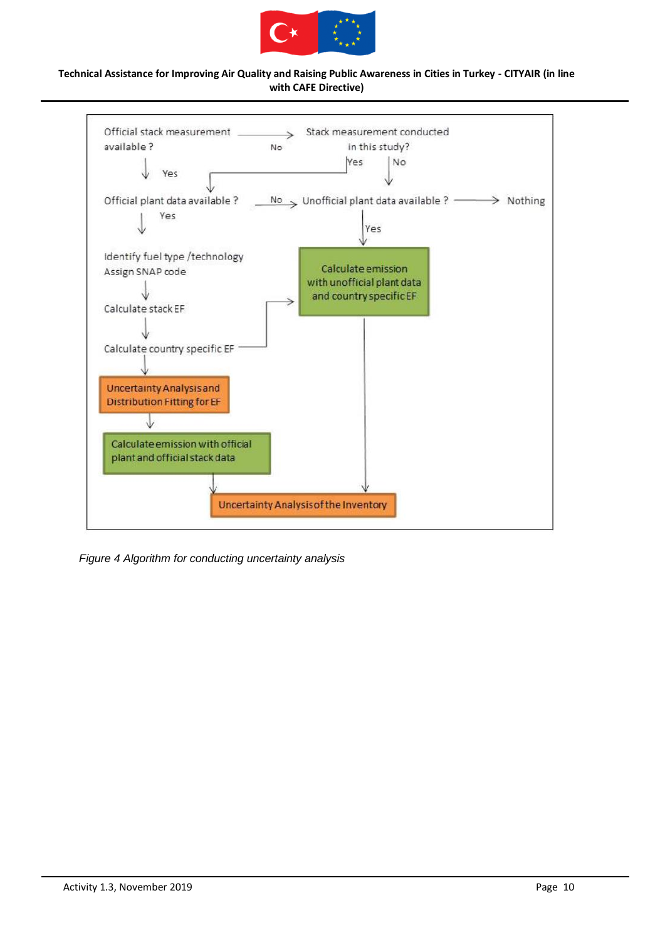



<span id="page-10-0"></span>*Figure 4 Algorithm for conducting uncertainty analysis*